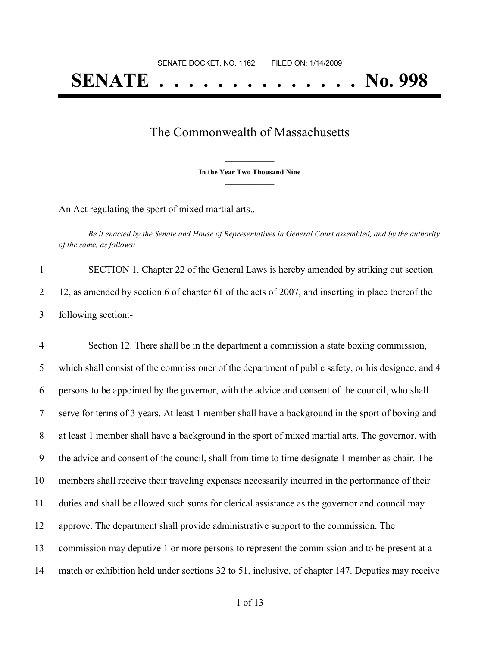## **SENATE . . . . . . . . . . . . . . No. 998**

## The Commonwealth of Massachusetts

**\_\_\_\_\_\_\_\_\_\_\_\_\_\_\_ In the Year Two Thousand Nine \_\_\_\_\_\_\_\_\_\_\_\_\_\_\_**

An Act regulating the sport of mixed martial arts..

Be it enacted by the Senate and House of Representatives in General Court assembled, and by the authority *of the same, as follows:*

1 SECTION 1. Chapter 22 of the General Laws is hereby amended by striking out section 2 12, as amended by section 6 of chapter 61 of the acts of 2007, and inserting in place thereof the 3 following section:-

 Section 12. There shall be in the department a commission a state boxing commission, which shall consist of the commissioner of the department of public safety, or his designee, and 4 persons to be appointed by the governor, with the advice and consent of the council, who shall serve for terms of 3 years. At least 1 member shall have a background in the sport of boxing and at least 1 member shall have a background in the sport of mixed martial arts. The governor, with the advice and consent of the council, shall from time to time designate 1 member as chair. The members shall receive their traveling expenses necessarily incurred in the performance of their duties and shall be allowed such sums for clerical assistance as the governor and council may approve. The department shall provide administrative support to the commission. The commission may deputize 1 or more persons to represent the commission and to be present at a match or exhibition held under sections 32 to 51, inclusive, of chapter 147. Deputies may receive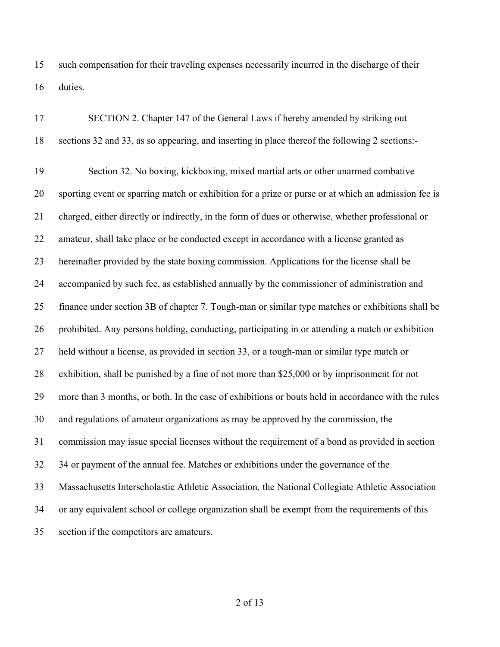such compensation for their traveling expenses necessarily incurred in the discharge of their duties.

| 17 | SECTION 2. Chapter 147 of the General Laws if hereby amended by striking out                        |
|----|-----------------------------------------------------------------------------------------------------|
| 18 | sections 32 and 33, as so appearing, and inserting in place thereof the following 2 sections:-      |
| 19 | Section 32. No boxing, kickboxing, mixed martial arts or other unarmed combative                    |
| 20 | sporting event or sparring match or exhibition for a prize or purse or at which an admission fee is |
| 21 | charged, either directly or indirectly, in the form of dues or otherwise, whether professional or   |
| 22 | amateur, shall take place or be conducted except in accordance with a license granted as            |
| 23 | hereinafter provided by the state boxing commission. Applications for the license shall be          |
| 24 | accompanied by such fee, as established annually by the commissioner of administration and          |
| 25 | finance under section 3B of chapter 7. Tough-man or similar type matches or exhibitions shall be    |
| 26 | prohibited. Any persons holding, conducting, participating in or attending a match or exhibition    |
| 27 | held without a license, as provided in section 33, or a tough-man or similar type match or          |
| 28 | exhibition, shall be punished by a fine of not more than \$25,000 or by imprisonment for not        |
| 29 | more than 3 months, or both. In the case of exhibitions or bouts held in accordance with the rules  |
| 30 | and regulations of amateur organizations as may be approved by the commission, the                  |
| 31 | commission may issue special licenses without the requirement of a bond as provided in section      |
| 32 | 34 or payment of the annual fee. Matches or exhibitions under the governance of the                 |
| 33 | Massachusetts Interscholastic Athletic Association, the National Collegiate Athletic Association    |
| 34 | or any equivalent school or college organization shall be exempt from the requirements of this      |
| 35 | section if the competitors are amateurs.                                                            |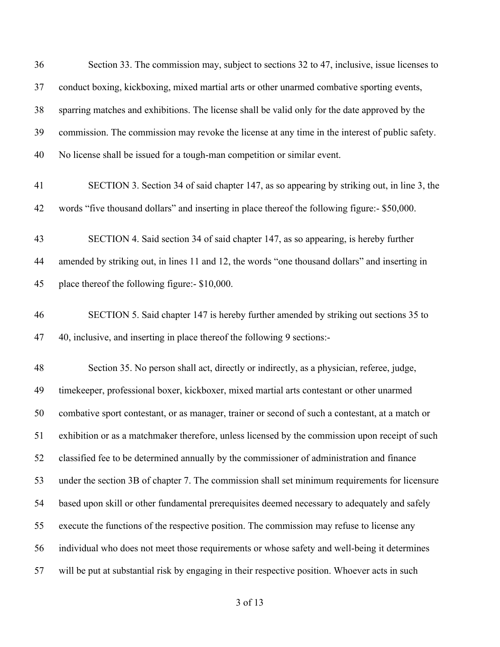| 36 | Section 33. The commission may, subject to sections 32 to 47, inclusive, issue licenses to       |
|----|--------------------------------------------------------------------------------------------------|
| 37 | conduct boxing, kickboxing, mixed martial arts or other unarmed combative sporting events,       |
| 38 | sparring matches and exhibitions. The license shall be valid only for the date approved by the   |
| 39 | commission. The commission may revoke the license at any time in the interest of public safety.  |
| 40 | No license shall be issued for a tough-man competition or similar event.                         |
| 41 | SECTION 3. Section 34 of said chapter 147, as so appearing by striking out, in line 3, the       |
| 42 | words "five thousand dollars" and inserting in place thereof the following figure:- \$50,000.    |
| 43 | SECTION 4. Said section 34 of said chapter 147, as so appearing, is hereby further               |
| 44 | amended by striking out, in lines 11 and 12, the words "one thousand dollars" and inserting in   |
| 45 | place thereof the following figure:- \$10,000.                                                   |
| 46 | SECTION 5. Said chapter 147 is hereby further amended by striking out sections 35 to             |
| 47 | 40, inclusive, and inserting in place thereof the following 9 sections:-                         |
| 48 | Section 35. No person shall act, directly or indirectly, as a physician, referee, judge,         |
| 49 | timekeeper, professional boxer, kickboxer, mixed martial arts contestant or other unarmed        |
| 50 | combative sport contestant, or as manager, trainer or second of such a contestant, at a match or |
| 51 | exhibition or as a matchmaker therefore, unless licensed by the commission upon receipt of such  |
| 52 | classified fee to be determined annually by the commissioner of administration and finance       |
| 53 | under the section 3B of chapter 7. The commission shall set minimum requirements for licensure   |
| 54 | based upon skill or other fundamental prerequisites deemed necessary to adequately and safely    |
| 55 | execute the functions of the respective position. The commission may refuse to license any       |
| 56 | individual who does not meet those requirements or whose safety and well-being it determines     |
| 57 | will be put at substantial risk by engaging in their respective position. Whoever acts in such   |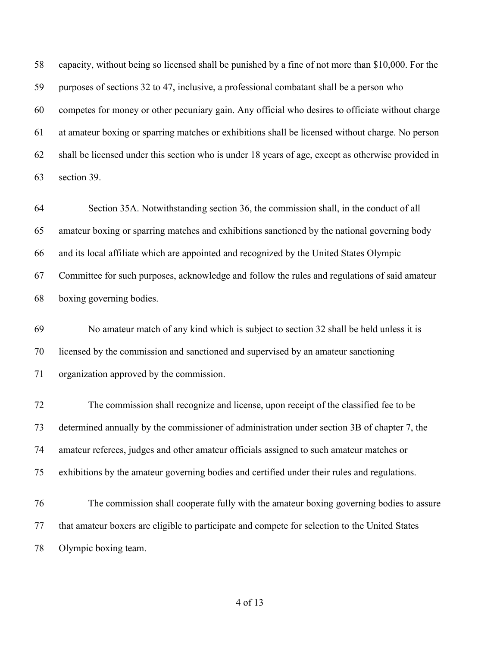capacity, without being so licensed shall be punished by a fine of not more than \$10,000. For the purposes of sections 32 to 47, inclusive, a professional combatant shall be a person who competes for money or other pecuniary gain. Any official who desires to officiate without charge at amateur boxing or sparring matches or exhibitions shall be licensed without charge. No person shall be licensed under this section who is under 18 years of age, except as otherwise provided in section 39.

 Section 35A. Notwithstanding section 36, the commission shall, in the conduct of all amateur boxing or sparring matches and exhibitions sanctioned by the national governing body and its local affiliate which are appointed and recognized by the United States Olympic Committee for such purposes, acknowledge and follow the rules and regulations of said amateur boxing governing bodies.

 No amateur match of any kind which is subject to section 32 shall be held unless it is licensed by the commission and sanctioned and supervised by an amateur sanctioning organization approved by the commission.

 The commission shall recognize and license, upon receipt of the classified fee to be determined annually by the commissioner of administration under section 3B of chapter 7, the amateur referees, judges and other amateur officials assigned to such amateur matches or exhibitions by the amateur governing bodies and certified under their rules and regulations.

 The commission shall cooperate fully with the amateur boxing governing bodies to assure that amateur boxers are eligible to participate and compete for selection to the United States Olympic boxing team.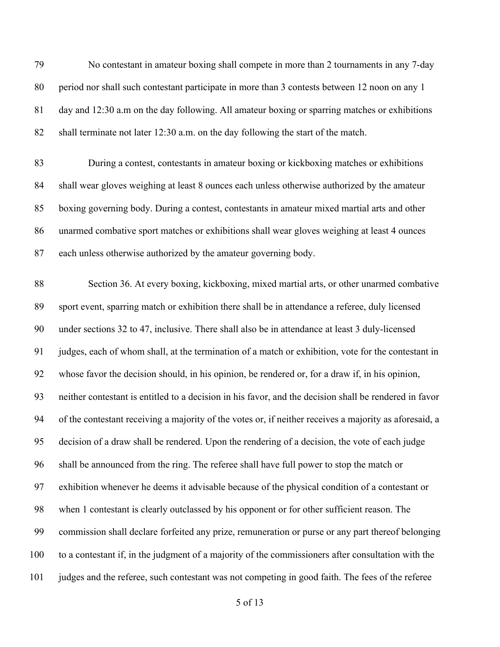No contestant in amateur boxing shall compete in more than 2 tournaments in any 7-day period nor shall such contestant participate in more than 3 contests between 12 noon on any 1 day and 12:30 a.m on the day following. All amateur boxing or sparring matches or exhibitions shall terminate not later 12:30 a.m. on the day following the start of the match. During a contest, contestants in amateur boxing or kickboxing matches or exhibitions shall wear gloves weighing at least 8 ounces each unless otherwise authorized by the amateur boxing governing body. During a contest, contestants in amateur mixed martial arts and other unarmed combative sport matches or exhibitions shall wear gloves weighing at least 4 ounces each unless otherwise authorized by the amateur governing body. Section 36. At every boxing, kickboxing, mixed martial arts, or other unarmed combative sport event, sparring match or exhibition there shall be in attendance a referee, duly licensed under sections 32 to 47, inclusive. There shall also be in attendance at least 3 duly-licensed judges, each of whom shall, at the termination of a match or exhibition, vote for the contestant in whose favor the decision should, in his opinion, be rendered or, for a draw if, in his opinion, neither contestant is entitled to a decision in his favor, and the decision shall be rendered in favor of the contestant receiving a majority of the votes or, if neither receives a majority as aforesaid, a decision of a draw shall be rendered. Upon the rendering of a decision, the vote of each judge shall be announced from the ring. The referee shall have full power to stop the match or exhibition whenever he deems it advisable because of the physical condition of a contestant or when 1 contestant is clearly outclassed by his opponent or for other sufficient reason. The commission shall declare forfeited any prize, remuneration or purse or any part thereof belonging to a contestant if, in the judgment of a majority of the commissioners after consultation with the judges and the referee, such contestant was not competing in good faith. The fees of the referee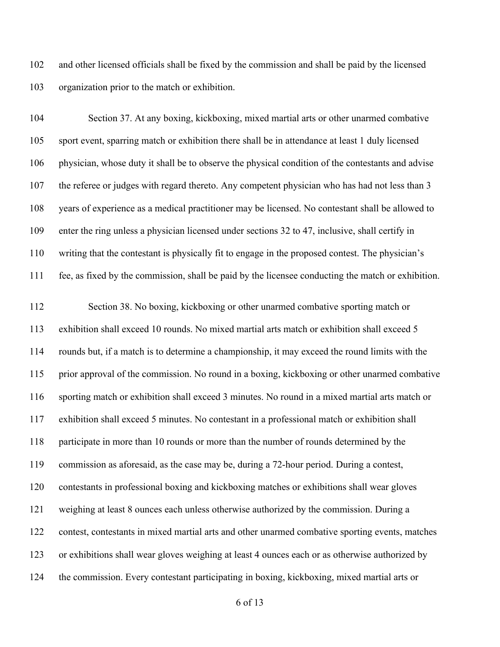and other licensed officials shall be fixed by the commission and shall be paid by the licensed organization prior to the match or exhibition.

 Section 37. At any boxing, kickboxing, mixed martial arts or other unarmed combative sport event, sparring match or exhibition there shall be in attendance at least 1 duly licensed physician, whose duty it shall be to observe the physical condition of the contestants and advise the referee or judges with regard thereto. Any competent physician who has had not less than 3 years of experience as a medical practitioner may be licensed. No contestant shall be allowed to enter the ring unless a physician licensed under sections 32 to 47, inclusive, shall certify in writing that the contestant is physically fit to engage in the proposed contest. The physician's fee, as fixed by the commission, shall be paid by the licensee conducting the match or exhibition.

 Section 38. No boxing, kickboxing or other unarmed combative sporting match or exhibition shall exceed 10 rounds. No mixed martial arts match or exhibition shall exceed 5 rounds but, if a match is to determine a championship, it may exceed the round limits with the prior approval of the commission. No round in a boxing, kickboxing or other unarmed combative sporting match or exhibition shall exceed 3 minutes. No round in a mixed martial arts match or exhibition shall exceed 5 minutes. No contestant in a professional match or exhibition shall participate in more than 10 rounds or more than the number of rounds determined by the commission as aforesaid, as the case may be, during a 72-hour period. During a contest, contestants in professional boxing and kickboxing matches or exhibitions shall wear gloves weighing at least 8 ounces each unless otherwise authorized by the commission. During a contest, contestants in mixed martial arts and other unarmed combative sporting events, matches or exhibitions shall wear gloves weighing at least 4 ounces each or as otherwise authorized by the commission. Every contestant participating in boxing, kickboxing, mixed martial arts or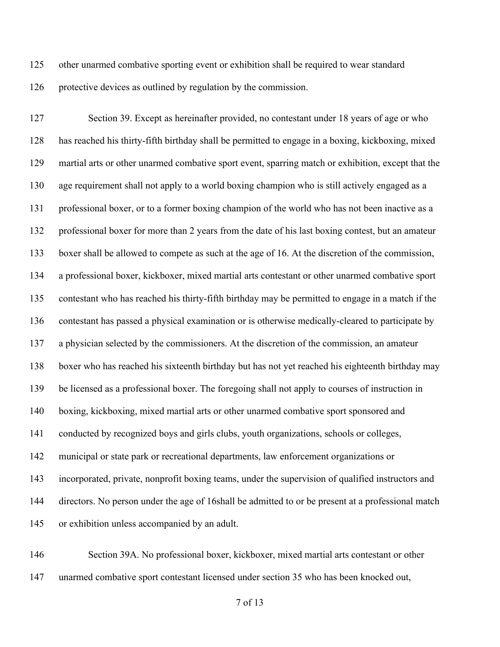other unarmed combative sporting event or exhibition shall be required to wear standard protective devices as outlined by regulation by the commission.

 Section 39. Except as hereinafter provided, no contestant under 18 years of age or who has reached his thirty-fifth birthday shall be permitted to engage in a boxing, kickboxing, mixed martial arts or other unarmed combative sport event, sparring match or exhibition, except that the age requirement shall not apply to a world boxing champion who is still actively engaged as a professional boxer, or to a former boxing champion of the world who has not been inactive as a professional boxer for more than 2 years from the date of his last boxing contest, but an amateur boxer shall be allowed to compete as such at the age of 16. At the discretion of the commission, a professional boxer, kickboxer, mixed martial arts contestant or other unarmed combative sport contestant who has reached his thirty-fifth birthday may be permitted to engage in a match if the contestant has passed a physical examination or is otherwise medically-cleared to participate by a physician selected by the commissioners. At the discretion of the commission, an amateur boxer who has reached his sixteenth birthday but has not yet reached his eighteenth birthday may be licensed as a professional boxer. The foregoing shall not apply to courses of instruction in boxing, kickboxing, mixed martial arts or other unarmed combative sport sponsored and conducted by recognized boys and girls clubs, youth organizations, schools or colleges, municipal or state park or recreational departments, law enforcement organizations or incorporated, private, nonprofit boxing teams, under the supervision of qualified instructors and directors. No person under the age of 16shall be admitted to or be present at a professional match or exhibition unless accompanied by an adult.

 Section 39A. No professional boxer, kickboxer, mixed martial arts contestant or other unarmed combative sport contestant licensed under section 35 who has been knocked out,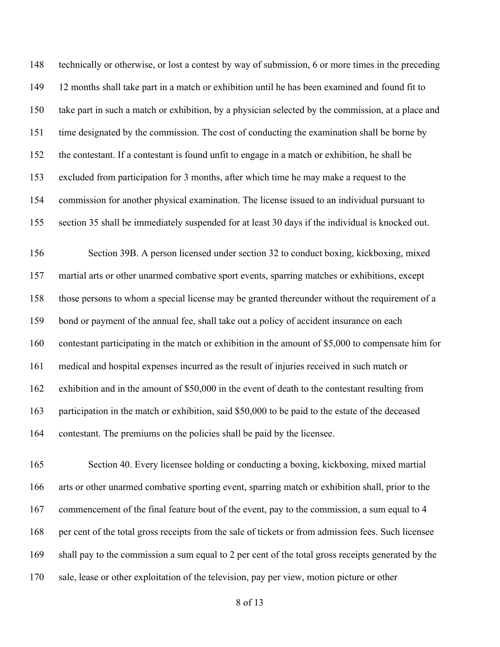technically or otherwise, or lost a contest by way of submission, 6 or more times in the preceding 12 months shall take part in a match or exhibition until he has been examined and found fit to take part in such a match or exhibition, by a physician selected by the commission, at a place and time designated by the commission. The cost of conducting the examination shall be borne by the contestant. If a contestant is found unfit to engage in a match or exhibition, he shall be excluded from participation for 3 months, after which time he may make a request to the commission for another physical examination. The license issued to an individual pursuant to section 35 shall be immediately suspended for at least 30 days if the individual is knocked out.

 Section 39B. A person licensed under section 32 to conduct boxing, kickboxing, mixed martial arts or other unarmed combative sport events, sparring matches or exhibitions, except those persons to whom a special license may be granted thereunder without the requirement of a bond or payment of the annual fee, shall take out a policy of accident insurance on each contestant participating in the match or exhibition in the amount of \$5,000 to compensate him for medical and hospital expenses incurred as the result of injuries received in such match or exhibition and in the amount of \$50,000 in the event of death to the contestant resulting from 163 participation in the match or exhibition, said \$50,000 to be paid to the estate of the deceased contestant. The premiums on the policies shall be paid by the licensee.

 Section 40. Every licensee holding or conducting a boxing, kickboxing, mixed martial arts or other unarmed combative sporting event, sparring match or exhibition shall, prior to the commencement of the final feature bout of the event, pay to the commission, a sum equal to 4 per cent of the total gross receipts from the sale of tickets or from admission fees. Such licensee shall pay to the commission a sum equal to 2 per cent of the total gross receipts generated by the sale, lease or other exploitation of the television, pay per view, motion picture or other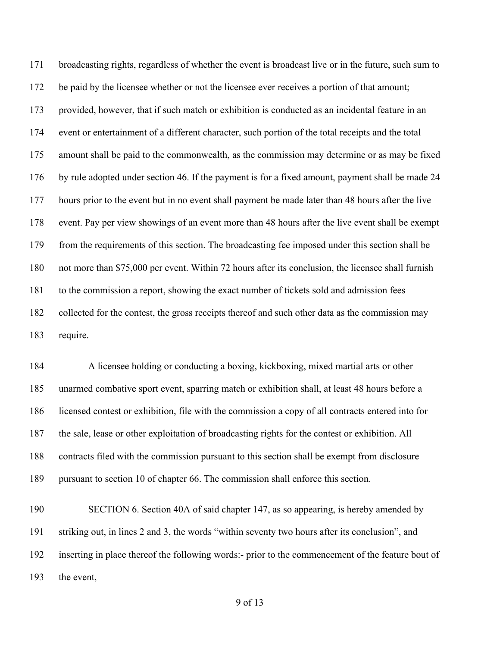broadcasting rights, regardless of whether the event is broadcast live or in the future, such sum to 172 be paid by the licensee whether or not the licensee ever receives a portion of that amount; provided, however, that if such match or exhibition is conducted as an incidental feature in an event or entertainment of a different character, such portion of the total receipts and the total amount shall be paid to the commonwealth, as the commission may determine or as may be fixed by rule adopted under section 46. If the payment is for a fixed amount, payment shall be made 24 hours prior to the event but in no event shall payment be made later than 48 hours after the live event. Pay per view showings of an event more than 48 hours after the live event shall be exempt from the requirements of this section. The broadcasting fee imposed under this section shall be not more than \$75,000 per event. Within 72 hours after its conclusion, the licensee shall furnish to the commission a report, showing the exact number of tickets sold and admission fees collected for the contest, the gross receipts thereof and such other data as the commission may require.

 A licensee holding or conducting a boxing, kickboxing, mixed martial arts or other unarmed combative sport event, sparring match or exhibition shall, at least 48 hours before a licensed contest or exhibition, file with the commission a copy of all contracts entered into for the sale, lease or other exploitation of broadcasting rights for the contest or exhibition. All contracts filed with the commission pursuant to this section shall be exempt from disclosure pursuant to section 10 of chapter 66. The commission shall enforce this section.

 SECTION 6. Section 40A of said chapter 147, as so appearing, is hereby amended by striking out, in lines 2 and 3, the words "within seventy two hours after its conclusion", and inserting in place thereof the following words:- prior to the commencement of the feature bout of the event,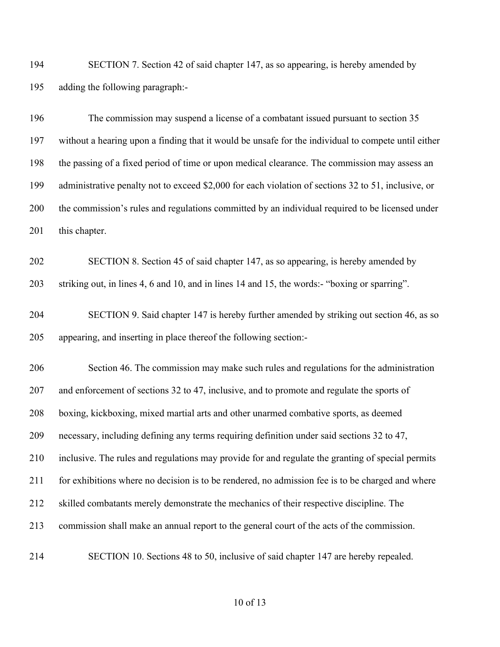SECTION 7. Section 42 of said chapter 147, as so appearing, is hereby amended by adding the following paragraph:-

 The commission may suspend a license of a combatant issued pursuant to section 35 without a hearing upon a finding that it would be unsafe for the individual to compete until either the passing of a fixed period of time or upon medical clearance. The commission may assess an administrative penalty not to exceed \$2,000 for each violation of sections 32 to 51, inclusive, or the commission's rules and regulations committed by an individual required to be licensed under 201 this chapter.

 SECTION 8. Section 45 of said chapter 147, as so appearing, is hereby amended by striking out, in lines 4, 6 and 10, and in lines 14 and 15, the words:- "boxing or sparring".

 SECTION 9. Said chapter 147 is hereby further amended by striking out section 46, as so appearing, and inserting in place thereof the following section:-

 Section 46. The commission may make such rules and regulations for the administration and enforcement of sections 32 to 47, inclusive, and to promote and regulate the sports of boxing, kickboxing, mixed martial arts and other unarmed combative sports, as deemed necessary, including defining any terms requiring definition under said sections 32 to 47, inclusive. The rules and regulations may provide for and regulate the granting of special permits for exhibitions where no decision is to be rendered, no admission fee is to be charged and where skilled combatants merely demonstrate the mechanics of their respective discipline. The commission shall make an annual report to the general court of the acts of the commission.

SECTION 10. Sections 48 to 50, inclusive of said chapter 147 are hereby repealed.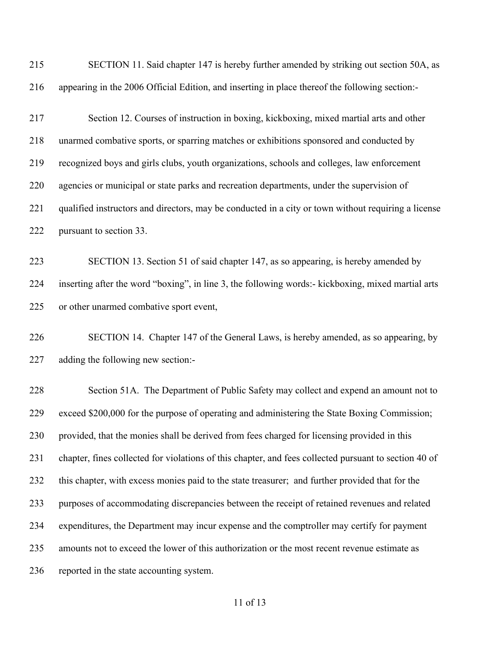| 215 | SECTION 11. Said chapter 147 is hereby further amended by striking out section 50A, as                |
|-----|-------------------------------------------------------------------------------------------------------|
| 216 | appearing in the 2006 Official Edition, and inserting in place thereof the following section:-        |
| 217 | Section 12. Courses of instruction in boxing, kickboxing, mixed martial arts and other                |
| 218 | unarmed combative sports, or sparring matches or exhibitions sponsored and conducted by               |
| 219 | recognized boys and girls clubs, youth organizations, schools and colleges, law enforcement           |
| 220 | agencies or municipal or state parks and recreation departments, under the supervision of             |
| 221 | qualified instructors and directors, may be conducted in a city or town without requiring a license   |
| 222 | pursuant to section 33.                                                                               |
| 223 | SECTION 13. Section 51 of said chapter 147, as so appearing, is hereby amended by                     |
| 224 | inserting after the word "boxing", in line 3, the following words:- kickboxing, mixed martial arts    |
| 225 | or other unarmed combative sport event,                                                               |
| 226 | SECTION 14. Chapter 147 of the General Laws, is hereby amended, as so appearing, by                   |
| 227 | adding the following new section:-                                                                    |
| 228 | Section 51A. The Department of Public Safety may collect and expend an amount not to                  |
| 229 | exceed \$200,000 for the purpose of operating and administering the State Boxing Commission;          |
| 230 | provided, that the monies shall be derived from fees charged for licensing provided in this           |
| 231 | chapter, fines collected for violations of this chapter, and fees collected pursuant to section 40 of |
| 232 | this chapter, with excess monies paid to the state treasurer; and further provided that for the       |
| 233 | purposes of accommodating discrepancies between the receipt of retained revenues and related          |
| 234 | expenditures, the Department may incur expense and the comptroller may certify for payment            |
| 235 | amounts not to exceed the lower of this authorization or the most recent revenue estimate as          |
| 236 | reported in the state accounting system.                                                              |
|     |                                                                                                       |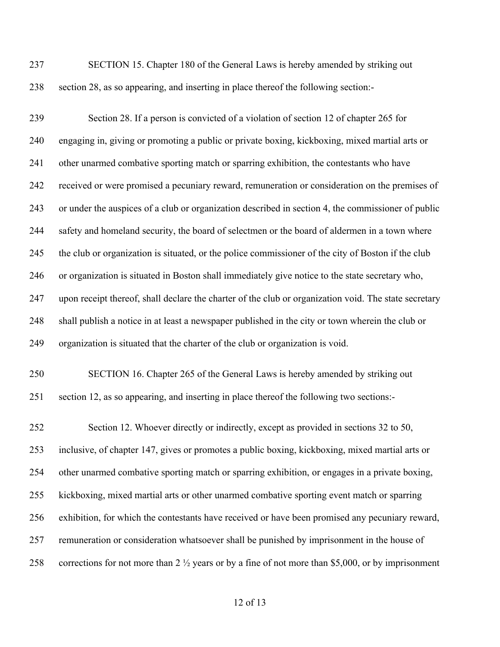SECTION 15. Chapter 180 of the General Laws is hereby amended by striking out section 28, as so appearing, and inserting in place thereof the following section:-

 Section 28. If a person is convicted of a violation of section 12 of chapter 265 for engaging in, giving or promoting a public or private boxing, kickboxing, mixed martial arts or other unarmed combative sporting match or sparring exhibition, the contestants who have received or were promised a pecuniary reward, remuneration or consideration on the premises of or under the auspices of a club or organization described in section 4, the commissioner of public safety and homeland security, the board of selectmen or the board of aldermen in a town where the club or organization is situated, or the police commissioner of the city of Boston if the club or organization is situated in Boston shall immediately give notice to the state secretary who, upon receipt thereof, shall declare the charter of the club or organization void. The state secretary shall publish a notice in at least a newspaper published in the city or town wherein the club or organization is situated that the charter of the club or organization is void.

 SECTION 16. Chapter 265 of the General Laws is hereby amended by striking out section 12, as so appearing, and inserting in place thereof the following two sections:-

 Section 12. Whoever directly or indirectly, except as provided in sections 32 to 50, inclusive, of chapter 147, gives or promotes a public boxing, kickboxing, mixed martial arts or other unarmed combative sporting match or sparring exhibition, or engages in a private boxing, kickboxing, mixed martial arts or other unarmed combative sporting event match or sparring exhibition, for which the contestants have received or have been promised any pecuniary reward, remuneration or consideration whatsoever shall be punished by imprisonment in the house of corrections for not more than 2 ½ years or by a fine of not more than \$5,000, or by imprisonment